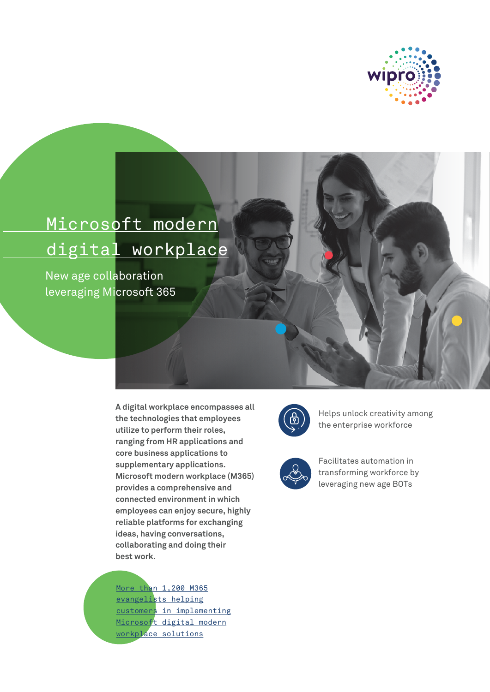

# Microsoft modern digital workplace

New age collaboration leveraging Microsoft 365

> **A digital workplace encompasses all the technologies that employees utilize to perform their roles, ranging from HR applications and core business applications to supplementary applications. Microsoft modern workplace (M365) provides a comprehensive and connected environment in which employees can enjoy secure, highly reliable platforms for exchanging ideas, having conversations, collaborating and doing their best work.**

More than 1,200 M365 evangelists helping customers in implementing Microsoft digital modern workplace solutions



Helps unlock creativity among the enterprise workforce



Facilitates automation in transforming workforce by leveraging new age BOTs